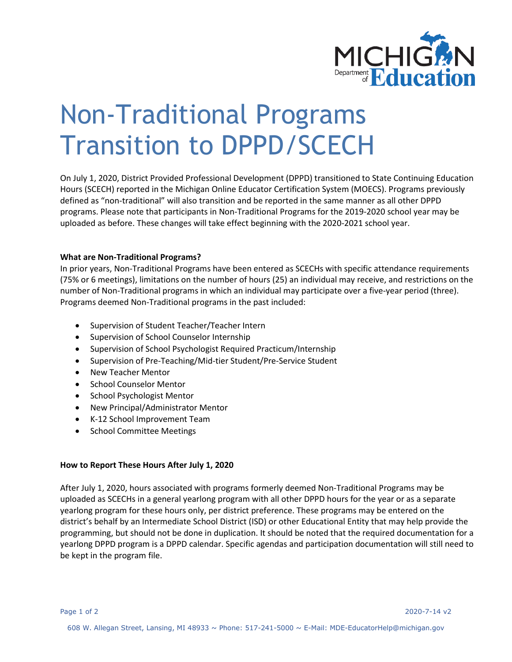

## Non-Traditional Programs Transition to DPPD/SCECH

On July 1, 2020, District Provided Professional Development (DPPD) transitioned to State Continuing Education Hours (SCECH) reported in the Michigan Online Educator Certification System (MOECS). Programs previously defined as "non-traditional" will also transition and be reported in the same manner as all other DPPD programs. Please note that participants in Non-Traditional Programs for the 2019-2020 school year may be uploaded as before. These changes will take effect beginning with the 2020-2021 school year.

## **What are Non-Traditional Programs?**

In prior years, Non-Traditional Programs have been entered as SCECHs with specific attendance requirements (75% or 6 meetings), limitations on the number of hours (25) an individual may receive, and restrictions on the number of Non-Traditional programs in which an individual may participate over a five-year period (three). Programs deemed Non-Traditional programs in the past included:

- Supervision of Student Teacher/Teacher Intern
- Supervision of School Counselor Internship
- Supervision of School Psychologist Required Practicum/Internship
- Supervision of Pre-Teaching/Mid-tier Student/Pre-Service Student
- New Teacher Mentor
- School Counselor Mentor
- School Psychologist Mentor
- New Principal/Administrator Mentor
- K-12 School Improvement Team
- School Committee Meetings

## **How to Report These Hours After July 1, 2020**

After July 1, 2020, hours associated with programs formerly deemed Non-Traditional Programs may be uploaded as SCECHs in a general yearlong program with all other DPPD hours for the year or as a separate yearlong program for these hours only, per district preference. These programs may be entered on the district's behalf by an Intermediate School District (ISD) or other Educational Entity that may help provide the programming, but should not be done in duplication. It should be noted that the required documentation for a yearlong DPPD program is a DPPD calendar. Specific agendas and participation documentation will still need to be kept in the program file.

Page 1 of 2 2020-7-14 v2